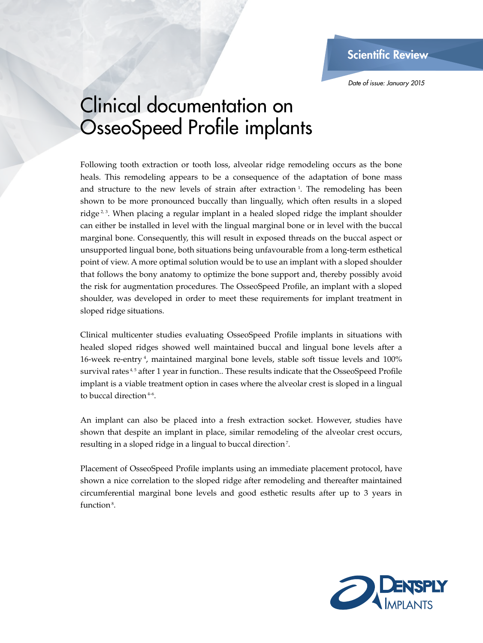*Date of issue: January 2015*

## Clinical documentation on OsseoSpeed Profile implants

Following tooth extraction or tooth loss, alveolar ridge remodeling occurs as the bone heals. This remodeling appears to be a consequence of the adaptation of bone mass and structure to the new levels of strain after extraction  $\frac{1}{1}$ . The remodeling has been shown to be more pronounced buccally than lingually, which often results in a sloped ridge  $2<sup>3</sup>$ . When placing a regular implant in a healed sloped ridge the implant shoulder can either be installed in level with the lingual marginal bone or in level with the buccal marginal bone. Consequently, this will result in exposed threads on the buccal aspect or unsupported lingual bone, both situations being unfavourable from a long-term esthetical point of view. A more optimal solution would be to use an implant with a sloped shoulder that follows the bony anatomy to optimize the bone support and, thereby possibly avoid the risk for augmentation procedures. The OsseoSpeed Profile, an implant with a sloped shoulder, was developed in order to meet these requirements for implant treatment in sloped ridge situations.

Clinical multicenter studies evaluating OsseoSpeed Profile implants in situations with healed sloped ridges showed well maintained buccal and lingual bone levels after a 16-week re-entry 4, maintained marginal bone levels, stable soft tissue levels and 100% survival rates<sup>4,5</sup> after 1 year in function.. These results indicate that the OsseoSpeed Profile implant is a viable treatment option in cases where the alveolar crest is sloped in a lingual to buccal direction 4–6.

An implant can also be placed into a fresh extraction socket. However, studies have shown that despite an implant in place, similar remodeling of the alveolar crest occurs, resulting in a sloped ridge in a lingual to buccal direction 7.

Placement of OsseoSpeed Profile implants using an immediate placement protocol, have shown a nice correlation to the sloped ridge after remodeling and thereafter maintained circumferential marginal bone levels and good esthetic results after up to 3 years in function<sup>8</sup>.